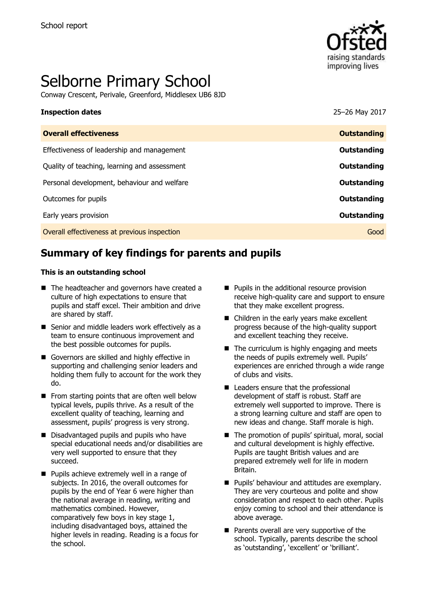

## Selborne Primary School

Conway Crescent, Perivale, Greenford, Middlesex UB6 8JD

# **Inspection dates** 25–26 May 2017

| <b>Overall effectiveness</b>                 | <b>Outstanding</b> |
|----------------------------------------------|--------------------|
| Effectiveness of leadership and management   | Outstanding        |
| Quality of teaching, learning and assessment | Outstanding        |
| Personal development, behaviour and welfare  | <b>Outstanding</b> |
| Outcomes for pupils                          | Outstanding        |
| Early years provision                        | Outstanding        |
| Overall effectiveness at previous inspection | Good               |

### **Summary of key findings for parents and pupils**

#### **This is an outstanding school**

- The headteacher and governors have created a culture of high expectations to ensure that pupils and staff excel. Their ambition and drive are shared by staff.
- Senior and middle leaders work effectively as a team to ensure continuous improvement and the best possible outcomes for pupils.
- Governors are skilled and highly effective in supporting and challenging senior leaders and holding them fully to account for the work they do.
- $\blacksquare$  From starting points that are often well below typical levels, pupils thrive. As a result of the excellent quality of teaching, learning and assessment, pupils' progress is very strong.
- Disadvantaged pupils and pupils who have special educational needs and/or disabilities are very well supported to ensure that they succeed.
- **Pupils achieve extremely well in a range of** subjects. In 2016, the overall outcomes for pupils by the end of Year 6 were higher than the national average in reading, writing and mathematics combined. However, comparatively few boys in key stage 1, including disadvantaged boys, attained the higher levels in reading. Reading is a focus for the school.
- **Pupils in the additional resource provision** receive high-quality care and support to ensure that they make excellent progress.
- Children in the early years make excellent progress because of the high-quality support and excellent teaching they receive.
- $\blacksquare$  The curriculum is highly engaging and meets the needs of pupils extremely well. Pupils' experiences are enriched through a wide range of clubs and visits.
- Leaders ensure that the professional development of staff is robust. Staff are extremely well supported to improve. There is a strong learning culture and staff are open to new ideas and change. Staff morale is high.
- The promotion of pupils' spiritual, moral, social and cultural development is highly effective. Pupils are taught British values and are prepared extremely well for life in modern Britain.
- **Pupils' behaviour and attitudes are exemplary.** They are very courteous and polite and show consideration and respect to each other. Pupils enjoy coming to school and their attendance is above average.
- **Parents overall are very supportive of the** school. Typically, parents describe the school as 'outstanding', 'excellent' or 'brilliant'.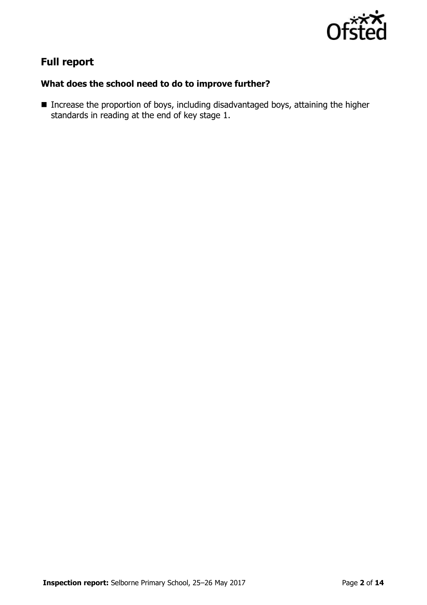

### **Full report**

#### **What does the school need to do to improve further?**

■ Increase the proportion of boys, including disadvantaged boys, attaining the higher standards in reading at the end of key stage 1.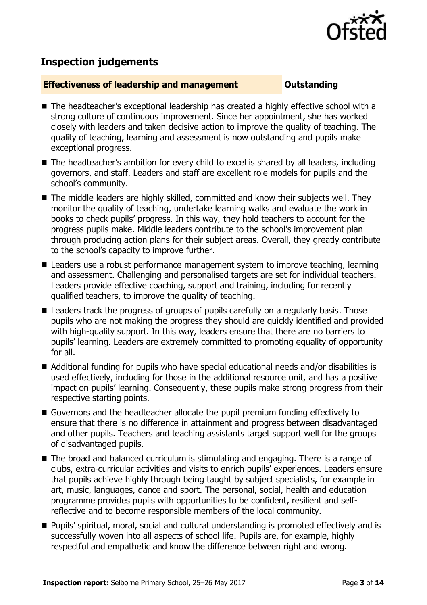

### **Inspection judgements**

#### **Effectiveness of leadership and management Constanding**

- The headteacher's exceptional leadership has created a highly effective school with a strong culture of continuous improvement. Since her appointment, she has worked closely with leaders and taken decisive action to improve the quality of teaching. The quality of teaching, learning and assessment is now outstanding and pupils make exceptional progress.
- The headteacher's ambition for every child to excel is shared by all leaders, including governors, and staff. Leaders and staff are excellent role models for pupils and the school's community.
- The middle leaders are highly skilled, committed and know their subjects well. They monitor the quality of teaching, undertake learning walks and evaluate the work in books to check pupils' progress. In this way, they hold teachers to account for the progress pupils make. Middle leaders contribute to the school's improvement plan through producing action plans for their subject areas. Overall, they greatly contribute to the school's capacity to improve further.
- Leaders use a robust performance management system to improve teaching, learning and assessment. Challenging and personalised targets are set for individual teachers. Leaders provide effective coaching, support and training, including for recently qualified teachers, to improve the quality of teaching.
- **E** Leaders track the progress of groups of pupils carefully on a regularly basis. Those pupils who are not making the progress they should are quickly identified and provided with high-quality support. In this way, leaders ensure that there are no barriers to pupils' learning. Leaders are extremely committed to promoting equality of opportunity for all.
- Additional funding for pupils who have special educational needs and/or disabilities is used effectively, including for those in the additional resource unit, and has a positive impact on pupils' learning. Consequently, these pupils make strong progress from their respective starting points.
- Governors and the headteacher allocate the pupil premium funding effectively to ensure that there is no difference in attainment and progress between disadvantaged and other pupils. Teachers and teaching assistants target support well for the groups of disadvantaged pupils.
- The broad and balanced curriculum is stimulating and engaging. There is a range of clubs, extra-curricular activities and visits to enrich pupils' experiences. Leaders ensure that pupils achieve highly through being taught by subject specialists, for example in art, music, languages, dance and sport. The personal, social, health and education programme provides pupils with opportunities to be confident, resilient and selfreflective and to become responsible members of the local community.
- Pupils' spiritual, moral, social and cultural understanding is promoted effectively and is successfully woven into all aspects of school life. Pupils are, for example, highly respectful and empathetic and know the difference between right and wrong.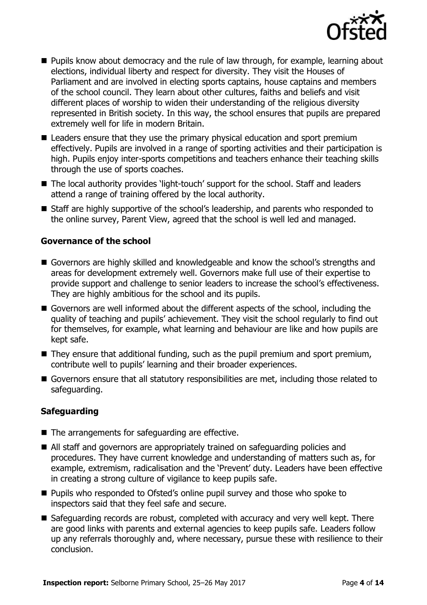

- **Pupils know about democracy and the rule of law through, for example, learning about** elections, individual liberty and respect for diversity. They visit the Houses of Parliament and are involved in electing sports captains, house captains and members of the school council. They learn about other cultures, faiths and beliefs and visit different places of worship to widen their understanding of the religious diversity represented in British society. In this way, the school ensures that pupils are prepared extremely well for life in modern Britain.
- Leaders ensure that they use the primary physical education and sport premium effectively. Pupils are involved in a range of sporting activities and their participation is high. Pupils enjoy inter-sports competitions and teachers enhance their teaching skills through the use of sports coaches.
- The local authority provides 'light-touch' support for the school. Staff and leaders attend a range of training offered by the local authority.
- Staff are highly supportive of the school's leadership, and parents who responded to the online survey, Parent View, agreed that the school is well led and managed.

#### **Governance of the school**

- Governors are highly skilled and knowledgeable and know the school's strengths and areas for development extremely well. Governors make full use of their expertise to provide support and challenge to senior leaders to increase the school's effectiveness. They are highly ambitious for the school and its pupils.
- Governors are well informed about the different aspects of the school, including the quality of teaching and pupils' achievement. They visit the school regularly to find out for themselves, for example, what learning and behaviour are like and how pupils are kept safe.
- They ensure that additional funding, such as the pupil premium and sport premium, contribute well to pupils' learning and their broader experiences.
- Governors ensure that all statutory responsibilities are met, including those related to safeguarding.

#### **Safeguarding**

- The arrangements for safeguarding are effective.
- All staff and governors are appropriately trained on safeguarding policies and procedures. They have current knowledge and understanding of matters such as, for example, extremism, radicalisation and the 'Prevent' duty. Leaders have been effective in creating a strong culture of vigilance to keep pupils safe.
- **Pupils who responded to Ofsted's online pupil survey and those who spoke to** inspectors said that they feel safe and secure.
- Safeguarding records are robust, completed with accuracy and very well kept. There are good links with parents and external agencies to keep pupils safe. Leaders follow up any referrals thoroughly and, where necessary, pursue these with resilience to their conclusion.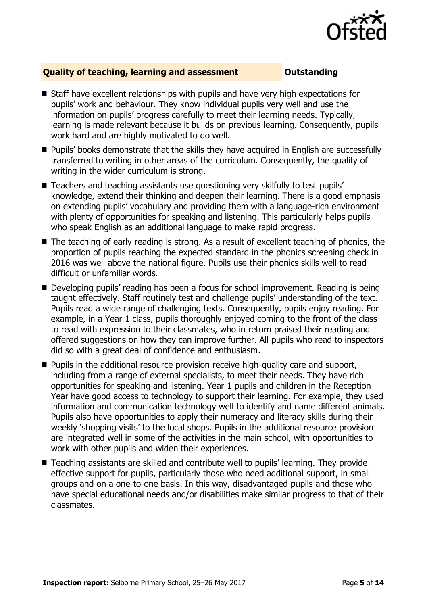

#### **Quality of teaching, learning and assessment Outstanding**

- Staff have excellent relationships with pupils and have very high expectations for pupils' work and behaviour. They know individual pupils very well and use the information on pupils' progress carefully to meet their learning needs. Typically, learning is made relevant because it builds on previous learning. Consequently, pupils work hard and are highly motivated to do well.
- **Pupils' books demonstrate that the skills they have acquired in English are successfully** transferred to writing in other areas of the curriculum. Consequently, the quality of writing in the wider curriculum is strong.
- Teachers and teaching assistants use questioning very skilfully to test pupils' knowledge, extend their thinking and deepen their learning. There is a good emphasis on extending pupils' vocabulary and providing them with a language-rich environment with plenty of opportunities for speaking and listening. This particularly helps pupils who speak English as an additional language to make rapid progress.
- The teaching of early reading is strong. As a result of excellent teaching of phonics, the proportion of pupils reaching the expected standard in the phonics screening check in 2016 was well above the national figure. Pupils use their phonics skills well to read difficult or unfamiliar words.
- Developing pupils' reading has been a focus for school improvement. Reading is being taught effectively. Staff routinely test and challenge pupils' understanding of the text. Pupils read a wide range of challenging texts. Consequently, pupils enjoy reading. For example, in a Year 1 class, pupils thoroughly enjoyed coming to the front of the class to read with expression to their classmates, who in return praised their reading and offered suggestions on how they can improve further. All pupils who read to inspectors did so with a great deal of confidence and enthusiasm.
- **Pupils in the additional resource provision receive high-quality care and support,** including from a range of external specialists, to meet their needs. They have rich opportunities for speaking and listening. Year 1 pupils and children in the Reception Year have good access to technology to support their learning. For example, they used information and communication technology well to identify and name different animals. Pupils also have opportunities to apply their numeracy and literacy skills during their weekly 'shopping visits' to the local shops. Pupils in the additional resource provision are integrated well in some of the activities in the main school, with opportunities to work with other pupils and widen their experiences.
- Teaching assistants are skilled and contribute well to pupils' learning. They provide effective support for pupils, particularly those who need additional support, in small groups and on a one-to-one basis. In this way, disadvantaged pupils and those who have special educational needs and/or disabilities make similar progress to that of their classmates.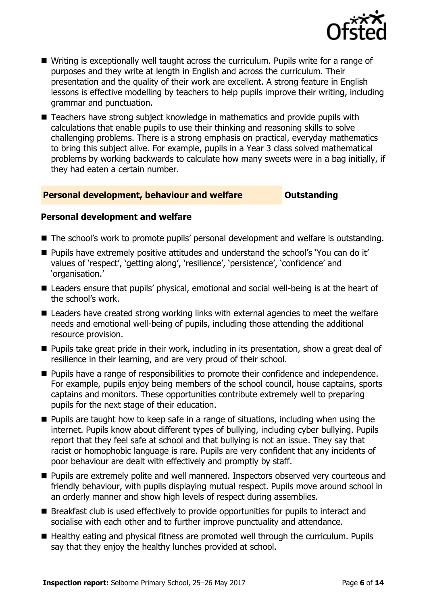

- Writing is exceptionally well taught across the curriculum. Pupils write for a range of purposes and they write at length in English and across the curriculum. Their presentation and the quality of their work are excellent. A strong feature in English lessons is effective modelling by teachers to help pupils improve their writing, including grammar and punctuation.
- Teachers have strong subject knowledge in mathematics and provide pupils with calculations that enable pupils to use their thinking and reasoning skills to solve challenging problems. There is a strong emphasis on practical, everyday mathematics to bring this subject alive. For example, pupils in a Year 3 class solved mathematical problems by working backwards to calculate how many sweets were in a bag initially, if they had eaten a certain number.

#### **Personal development, behaviour and welfare <b>COULTS** Outstanding

#### **Personal development and welfare**

- The school's work to promote pupils' personal development and welfare is outstanding.
- **Pupils have extremely positive attitudes and understand the school's 'You can do it'** values of 'respect', 'getting along', 'resilience', 'persistence', 'confidence' and 'organisation.'
- Leaders ensure that pupils' physical, emotional and social well-being is at the heart of the school's work.
- Leaders have created strong working links with external agencies to meet the welfare needs and emotional well-being of pupils, including those attending the additional resource provision.
- **Pupils take great pride in their work, including in its presentation, show a great deal of** resilience in their learning, and are very proud of their school.
- **Pupils have a range of responsibilities to promote their confidence and independence.** For example, pupils enjoy being members of the school council, house captains, sports captains and monitors. These opportunities contribute extremely well to preparing pupils for the next stage of their education.
- **Pupils are taught how to keep safe in a range of situations, including when using the** internet. Pupils know about different types of bullying, including cyber bullying. Pupils report that they feel safe at school and that bullying is not an issue. They say that racist or homophobic language is rare. Pupils are very confident that any incidents of poor behaviour are dealt with effectively and promptly by staff.
- **Pupils are extremely polite and well mannered. Inspectors observed very courteous and** friendly behaviour, with pupils displaying mutual respect. Pupils move around school in an orderly manner and show high levels of respect during assemblies.
- **Breakfast club is used effectively to provide opportunities for pupils to interact and** socialise with each other and to further improve punctuality and attendance.
- Healthy eating and physical fitness are promoted well through the curriculum. Pupils say that they enjoy the healthy lunches provided at school.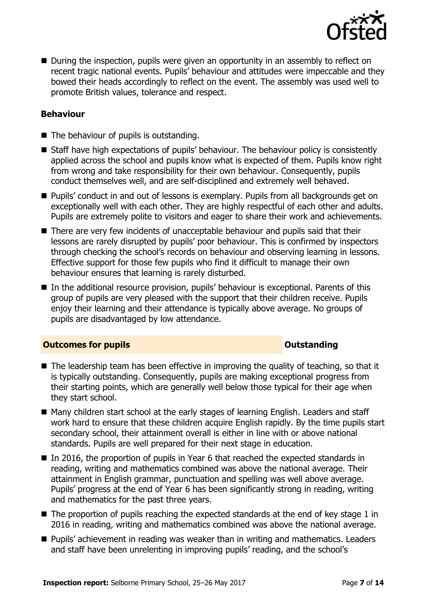

■ During the inspection, pupils were given an opportunity in an assembly to reflect on recent tragic national events. Pupils' behaviour and attitudes were impeccable and they bowed their heads accordingly to reflect on the event. The assembly was used well to promote British values, tolerance and respect.

#### **Behaviour**

- The behaviour of pupils is outstanding.
- Staff have high expectations of pupils' behaviour. The behaviour policy is consistently applied across the school and pupils know what is expected of them. Pupils know right from wrong and take responsibility for their own behaviour. Consequently, pupils conduct themselves well, and are self-disciplined and extremely well behaved.
- **Pupils'** conduct in and out of lessons is exemplary. Pupils from all backgrounds get on exceptionally well with each other. They are highly respectful of each other and adults. Pupils are extremely polite to visitors and eager to share their work and achievements.
- There are very few incidents of unacceptable behaviour and pupils said that their lessons are rarely disrupted by pupils' poor behaviour. This is confirmed by inspectors through checking the school's records on behaviour and observing learning in lessons. Effective support for those few pupils who find it difficult to manage their own behaviour ensures that learning is rarely disturbed.
- In the additional resource provision, pupils' behaviour is exceptional. Parents of this group of pupils are very pleased with the support that their children receive. Pupils eniov their learning and their attendance is typically above average. No groups of pupils are disadvantaged by low attendance.

#### **Outcomes for pupils Outstanding**

- The leadership team has been effective in improving the quality of teaching, so that it is typically outstanding. Consequently, pupils are making exceptional progress from their starting points, which are generally well below those typical for their age when they start school.
- Many children start school at the early stages of learning English. Leaders and staff work hard to ensure that these children acquire English rapidly. By the time pupils start secondary school, their attainment overall is either in line with or above national standards. Pupils are well prepared for their next stage in education.
- In 2016, the proportion of pupils in Year 6 that reached the expected standards in reading, writing and mathematics combined was above the national average. Their attainment in English grammar, punctuation and spelling was well above average. Pupils' progress at the end of Year 6 has been significantly strong in reading, writing and mathematics for the past three years.
- $\blacksquare$  The proportion of pupils reaching the expected standards at the end of key stage 1 in 2016 in reading, writing and mathematics combined was above the national average.
- **Pupils'** achievement in reading was weaker than in writing and mathematics. Leaders and staff have been unrelenting in improving pupils' reading, and the school's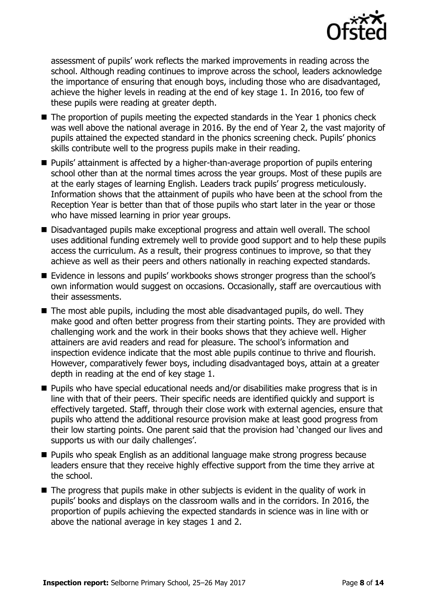

assessment of pupils' work reflects the marked improvements in reading across the school. Although reading continues to improve across the school, leaders acknowledge the importance of ensuring that enough boys, including those who are disadvantaged, achieve the higher levels in reading at the end of key stage 1. In 2016, too few of these pupils were reading at greater depth.

- $\blacksquare$  The proportion of pupils meeting the expected standards in the Year 1 phonics check was well above the national average in 2016. By the end of Year 2, the vast majority of pupils attained the expected standard in the phonics screening check. Pupils' phonics skills contribute well to the progress pupils make in their reading.
- Pupils' attainment is affected by a higher-than-average proportion of pupils entering school other than at the normal times across the year groups. Most of these pupils are at the early stages of learning English. Leaders track pupils' progress meticulously. Information shows that the attainment of pupils who have been at the school from the Reception Year is better than that of those pupils who start later in the year or those who have missed learning in prior year groups.
- Disadvantaged pupils make exceptional progress and attain well overall. The school uses additional funding extremely well to provide good support and to help these pupils access the curriculum. As a result, their progress continues to improve, so that they achieve as well as their peers and others nationally in reaching expected standards.
- Evidence in lessons and pupils' workbooks shows stronger progress than the school's own information would suggest on occasions. Occasionally, staff are overcautious with their assessments.
- $\blacksquare$  The most able pupils, including the most able disadvantaged pupils, do well. They make good and often better progress from their starting points. They are provided with challenging work and the work in their books shows that they achieve well. Higher attainers are avid readers and read for pleasure. The school's information and inspection evidence indicate that the most able pupils continue to thrive and flourish. However, comparatively fewer boys, including disadvantaged boys, attain at a greater depth in reading at the end of key stage 1.
- **Pupils who have special educational needs and/or disabilities make progress that is in** line with that of their peers. Their specific needs are identified quickly and support is effectively targeted. Staff, through their close work with external agencies, ensure that pupils who attend the additional resource provision make at least good progress from their low starting points. One parent said that the provision had 'changed our lives and supports us with our daily challenges'.
- Pupils who speak English as an additional language make strong progress because leaders ensure that they receive highly effective support from the time they arrive at the school.
- $\blacksquare$  The progress that pupils make in other subjects is evident in the quality of work in pupils' books and displays on the classroom walls and in the corridors. In 2016, the proportion of pupils achieving the expected standards in science was in line with or above the national average in key stages 1 and 2.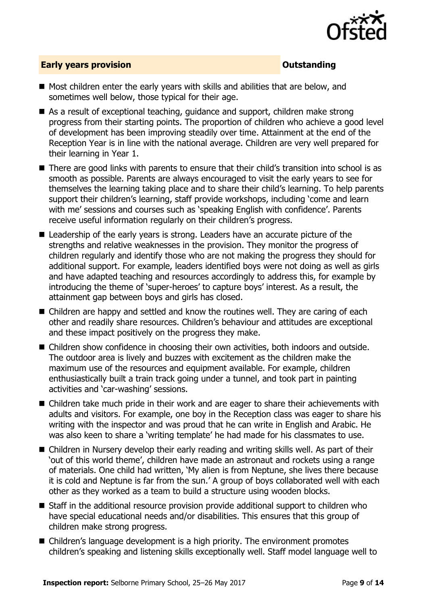

#### **Early years provision CONSISTER SERVICES CONSISTENT CONSTANT CONSTANT CONSTANT CONSISTENT CONSISTENT CONSISTENT CONSISTENT CONSISTENT CONSISTENT CONSISTENT CONSISTENT CONSISTENT CONSISTENT CONSISTENT CONSISTENT CONSIS**

- $\blacksquare$  Most children enter the early years with skills and abilities that are below, and sometimes well below, those typical for their age.
- As a result of exceptional teaching, guidance and support, children make strong progress from their starting points. The proportion of children who achieve a good level of development has been improving steadily over time. Attainment at the end of the Reception Year is in line with the national average. Children are very well prepared for their learning in Year 1.
- There are good links with parents to ensure that their child's transition into school is as smooth as possible. Parents are always encouraged to visit the early years to see for themselves the learning taking place and to share their child's learning. To help parents support their children's learning, staff provide workshops, including 'come and learn with me' sessions and courses such as 'speaking English with confidence'. Parents receive useful information regularly on their children's progress.
- Leadership of the early years is strong. Leaders have an accurate picture of the strengths and relative weaknesses in the provision. They monitor the progress of children regularly and identify those who are not making the progress they should for additional support. For example, leaders identified boys were not doing as well as girls and have adapted teaching and resources accordingly to address this, for example by introducing the theme of 'super-heroes' to capture boys' interest. As a result, the attainment gap between boys and girls has closed.
- Children are happy and settled and know the routines well. They are caring of each other and readily share resources. Children's behaviour and attitudes are exceptional and these impact positively on the progress they make.
- Children show confidence in choosing their own activities, both indoors and outside. The outdoor area is lively and buzzes with excitement as the children make the maximum use of the resources and equipment available. For example, children enthusiastically built a train track going under a tunnel, and took part in painting activities and 'car-washing' sessions.
- Children take much pride in their work and are eager to share their achievements with adults and visitors. For example, one boy in the Reception class was eager to share his writing with the inspector and was proud that he can write in English and Arabic. He was also keen to share a 'writing template' he had made for his classmates to use.
- Children in Nursery develop their early reading and writing skills well. As part of their 'out of this world theme', children have made an astronaut and rockets using a range of materials. One child had written, 'My alien is from Neptune, she lives there because it is cold and Neptune is far from the sun.' A group of boys collaborated well with each other as they worked as a team to build a structure using wooden blocks.
- Staff in the additional resource provision provide additional support to children who have special educational needs and/or disabilities. This ensures that this group of children make strong progress.
- Children's language development is a high priority. The environment promotes children's speaking and listening skills exceptionally well. Staff model language well to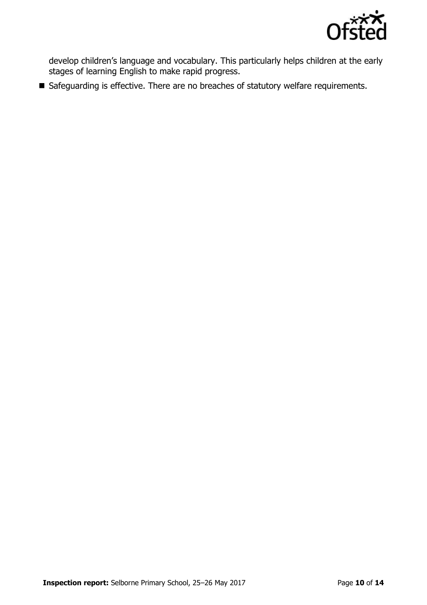

develop children's language and vocabulary. This particularly helps children at the early stages of learning English to make rapid progress.

Safeguarding is effective. There are no breaches of statutory welfare requirements.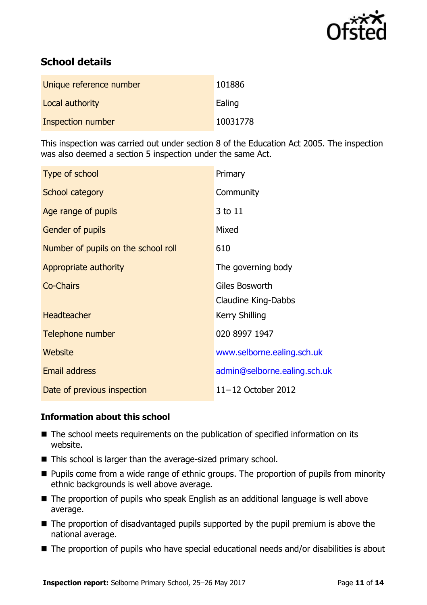

### **School details**

| Unique reference number | 101886   |
|-------------------------|----------|
| Local authority         | Ealing   |
| Inspection number       | 10031778 |

This inspection was carried out under section 8 of the Education Act 2005. The inspection was also deemed a section 5 inspection under the same Act.

| Type of school                      | Primary                      |
|-------------------------------------|------------------------------|
| School category                     | Community                    |
| Age range of pupils                 | 3 to 11                      |
| Gender of pupils                    | Mixed                        |
| Number of pupils on the school roll | 610                          |
| Appropriate authority               | The governing body           |
| <b>Co-Chairs</b>                    | Giles Bosworth               |
|                                     | Claudine King-Dabbs          |
| <b>Headteacher</b>                  | Kerry Shilling               |
| Telephone number                    | 020 8997 1947                |
| Website                             | www.selborne.ealing.sch.uk   |
| <b>Email address</b>                | admin@selborne.ealing.sch.uk |
| Date of previous inspection         | $11 - 12$ October 2012       |

#### **Information about this school**

- The school meets requirements on the publication of specified information on its website.
- This school is larger than the average-sized primary school.
- $\blacksquare$  Pupils come from a wide range of ethnic groups. The proportion of pupils from minority ethnic backgrounds is well above average.
- The proportion of pupils who speak English as an additional language is well above average.
- The proportion of disadvantaged pupils supported by the pupil premium is above the national average.
- The proportion of pupils who have special educational needs and/or disabilities is about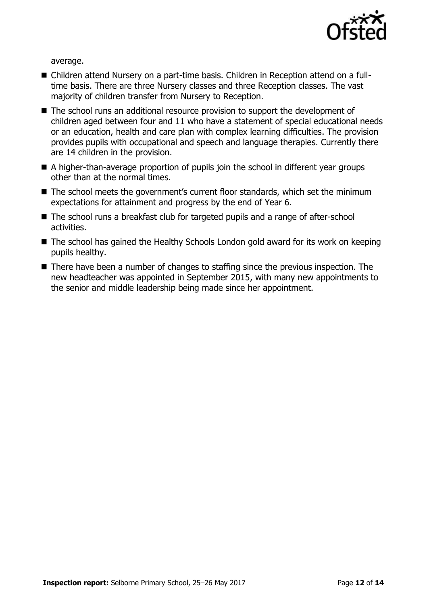

average.

- Children attend Nursery on a part-time basis. Children in Reception attend on a fulltime basis. There are three Nursery classes and three Reception classes. The vast majority of children transfer from Nursery to Reception.
- The school runs an additional resource provision to support the development of children aged between four and 11 who have a statement of special educational needs or an education, health and care plan with complex learning difficulties. The provision provides pupils with occupational and speech and language therapies. Currently there are 14 children in the provision.
- A higher-than-average proportion of pupils join the school in different year groups other than at the normal times.
- The school meets the government's current floor standards, which set the minimum expectations for attainment and progress by the end of Year 6.
- The school runs a breakfast club for targeted pupils and a range of after-school activities.
- The school has gained the Healthy Schools London gold award for its work on keeping pupils healthy.
- There have been a number of changes to staffing since the previous inspection. The new headteacher was appointed in September 2015, with many new appointments to the senior and middle leadership being made since her appointment.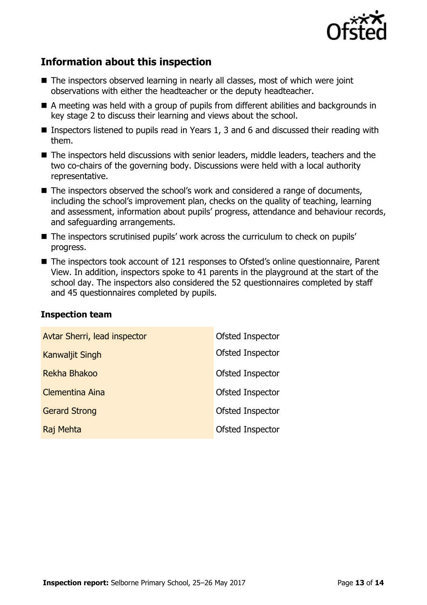

### **Information about this inspection**

- The inspectors observed learning in nearly all classes, most of which were joint observations with either the headteacher or the deputy headteacher.
- A meeting was held with a group of pupils from different abilities and backgrounds in key stage 2 to discuss their learning and views about the school.
- Inspectors listened to pupils read in Years 1, 3 and 6 and discussed their reading with them.
- The inspectors held discussions with senior leaders, middle leaders, teachers and the two co-chairs of the governing body. Discussions were held with a local authority representative.
- The inspectors observed the school's work and considered a range of documents, including the school's improvement plan, checks on the quality of teaching, learning and assessment, information about pupils' progress, attendance and behaviour records, and safeguarding arrangements.
- The inspectors scrutinised pupils' work across the curriculum to check on pupils' progress.
- The inspectors took account of 121 responses to Ofsted's online questionnaire, Parent View. In addition, inspectors spoke to 41 parents in the playground at the start of the school day. The inspectors also considered the 52 questionnaires completed by staff and 45 questionnaires completed by pupils.

#### **Inspection team**

| Avtar Sherri, lead inspector | Ofsted Inspector |
|------------------------------|------------------|
| <b>Kanwaljit Singh</b>       | Ofsted Inspector |
| Rekha Bhakoo                 | Ofsted Inspector |
| <b>Clementina Aina</b>       | Ofsted Inspector |
| <b>Gerard Strong</b>         | Ofsted Inspector |
| Raj Mehta                    | Ofsted Inspector |